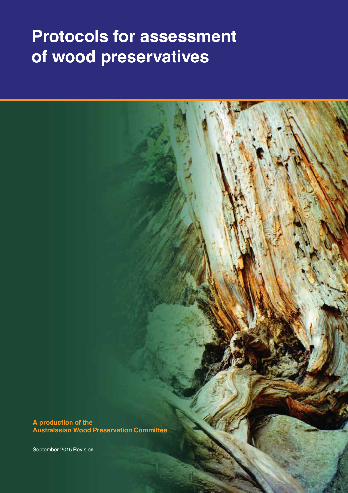# **Protocols for assessment of wood preservatives**

**A production of the Australasian Wood Preservation Committee**

September 2015 Revision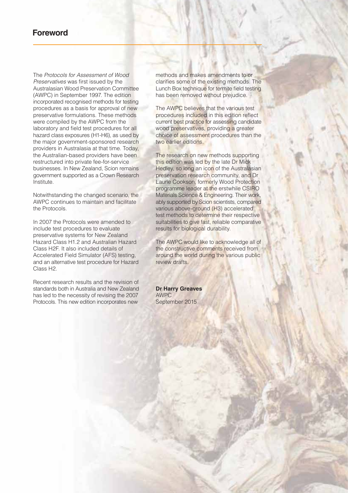### **Foreword**

The *Protocols for Assessment of Wood Preservatives* was first issued by the Australasian Wood Preservation Committee (AWPC) in September 1997. The edition incorporated recognised methods for testing procedures as a basis for approval of new preservative formulations. These methods were compiled by the AWPC from the laboratory and field test procedures for all hazard class exposures (H1-H6), as used by the major government-sponsored research providers in Australasia at that time. Today, the Australian-based providers have been restructured into private fee-for-service businesses. In New Zealand, Scion remains government supported as a Crown Research Institute.

Notwithstanding the changed scenario, the AWPC continues to maintain and facilitate the Protocols.

In 2007 the Protocols were amended to include test procedures to evaluate preservative systems for New Zealand Hazard Class H1.2 and Australian Hazard Class H2F. It also included details of Accelerated Field Simulator (AFS) testing, and an alternative test procedure for Hazard Class H2.

Recent research results and the revision of standards both in Australia and New Zealand has led to the necessity of revising the 2007 Protocols. This new edition incorporates new

methods and makes amendments to or clarifies some of the existing methods. The Lunch Box technique for termite field testing has been removed without prejudice.

The AWPC believes that the various test procedures included in this edition reflect current best practice for assessing candidate wood preservatives, providing a greater choice of assessment procedures than the two earlier editions.

The research on new methods supporting this edition was led by the late Dr Mick Hedley, so long an icon of the Australasian preservation research community, and Dr Laurie Cookson, formerly Wood Protection programme leader at the erstwhile CSIRO Materials Science & Engineering. Their work, ably supported by Scion scientists, compared various above-ground (H3) accelerated test methods to determine their respective suitabilities to give fast, reliable comparative results for biological durability.

The AWPC would like to acknowledge all of the constructive comments received from around the world during the various public review drafts.

**Dr Harry Greaves** AWPC September 2015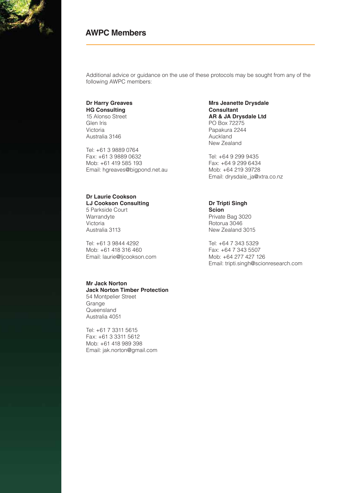### **AWPC Members**

Additional advice or guidance on the use of these protocols may be sought from any of the following AWPC members:

#### **Dr Harry Greaves HG Consulting**

15 Alonso Street Glen Iris Victoria Australia 3146

Tel: +61 3 9889 0764 Fax: +61 3 9889 0632 Mob: +61 419 585 193 Email: hgreaves@bigpond.net.au

#### **Dr Laurie Cookson LJ Cookson Consulting**

5 Parkside Court Warrandyte Victoria Australia 3113

Tel: +61 3 9844 4292 Mob: +61 418 316 460 Email: laurie@ljcookson.com

#### **Mr Jack Norton Jack Norton Timber Protection**

54 Montpelier Street Grange **Queensland** Australia 4051

Tel: +61 7 3311 5615 Fax: +61 3 3311 5612 Mob: +61 418 989 398 Email: jak.norton@gmail.com

#### **Mrs Jeanette Drysdale Consultant AR & JA Drysdale Ltd** PO Box 72275 Papakura 2244 Auckland New Zealand

Tel: +64 9 299 9435 Fax: +64 9 299 6434 Mob: +64 219 39728 Email: drysdale\_ja@xtra.co.nz

### **Dr Tripti Singh**

**Scion** Private Bag 3020 Rotorua 3046 New Zealand 3015

Tel: +64 7 343 5329 Fax: +64 7 343 5507 Mob: +64 277 427 126 Email: tripti.singh@scionresearch.com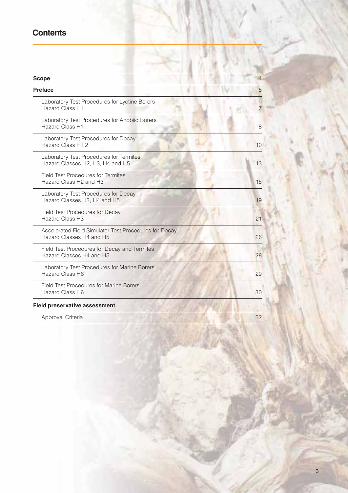### **Contents**

| <b>Scope</b>                                                                                | $\overline{4}$ |
|---------------------------------------------------------------------------------------------|----------------|
| <b>Preface</b>                                                                              | 5              |
| Laboratory Test Procedures for Lyctine Borers<br><b>Hazard Class H1</b>                     |                |
| Laboratory Test Procedures for Anobiid Borers<br><b>Hazard Class H1</b>                     | 8              |
| Laboratory Test Procedures for Decay<br>Hazard Class H1.2                                   | 10             |
| Laboratory Test Procedures for Termites<br>Hazard Classes H2, H3, H4 and H5                 | 13             |
| <b>Field Test Procedures for Termites</b><br>Hazard Class H <sub>2</sub> and H <sub>3</sub> | 15             |
| Laboratory Test Procedures for Decay<br>Hazard Classes H3, H4 and H5                        | 19             |
| Field Test Procedures for Decay<br><b>Hazard Class H3</b>                                   | 21             |
| Accelerated Field Simulator Test Procedures for Decay<br>Hazard Classes H4 and H5           | 26             |
| Field Test Procedures for Decay and Termites<br>Hazard Classes H4 and H5                    | 28             |
| Laboratory Test Procedures for Marine Borers<br><b>Hazard Class H6</b>                      | 29             |
| <b>Field Test Procedures for Marine Borers</b><br><b>Hazard Class H6</b>                    | 30             |
| <b>Field preservative assessment</b>                                                        |                |
| Approval Criteria                                                                           | 32             |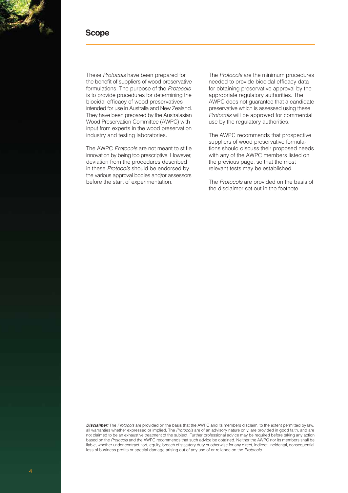

### **Scope**

These *Protocols* have been prepared for the benefit of suppliers of wood preservative formulations. The purpose of the *Protocols* is to provide procedures for determining the biocidal efficacy of wood preservatives intended for use in Australia and New Zealand. They have been prepared by the Australasian Wood Preservation Committee (AWPC) with input from experts in the wood preservation industry and testing laboratories.

The AWPC *Protocols* are not meant to stifle innovation by being too prescriptive. However, deviation from the procedures described in these *Protocols* should be endorsed by the various approval bodies and/or assessors before the start of experimentation.

The *Protocols* are the minimum procedures needed to provide biocidal efficacy data for obtaining preservative approval by the appropriate regulatory authorities. The AWPC does not guarantee that a candidate preservative which is assessed using these *Protocols* will be approved for commercial use by the regulatory authorities.

The AWPC recommends that prospective suppliers of wood preservative formulations should discuss their proposed needs with any of the AWPC members listed on the previous page, so that the most relevant tests may be established.

The *Protocols* are provided on the basis of the disclaimer set out in the footnote.

*Disclaimer:* The *Protocols* are provided on the basis that the AWPC and its members disclaim, to the extent permitted by law, all warranties whether expressed or implied. The *Protocols* are of an advisory nature only, are provided in good faith, and are not claimed to be an exhaustive treatment of the subject. Further professional advice may be required before taking any action based on the *Protocols* and the AWPC recommends that such advice be obtained. Neither the AWPC nor its members shall be liable, whether under contract, tort, equity, breach of statutory duty or otherwise for any direct, indirect, incidental, consequential loss of business profits or special damage arising out of any use of or reliance on the *Protocols*.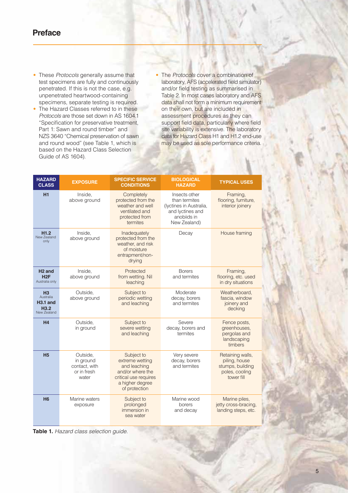### **Preface**

- These *Protocols* generally assume that test specimens are fully and continuously penetrated. If this is not the case, e.g. unpenetrated heartwood-containing specimens, separate testing is required.
- The Hazard Classes referred to in these *Protocols* are those set down in AS 1604.1 "Specification for preservative treatment, Part 1: Sawn and round timber" and NZS 3640 "Chemical preservation of sawn and round wood" (see Table 1, which is based on the Hazard Class Selection Guide of AS 1604).
- The *Protocols* cover a combination of laboratory, AFS (accelerated field simulator) and/or field testing as summarised in Table 2. In most cases laboratory and AFS data shall not form a minimum requirement on their own, but are included in assessment procedures as they can support field data, particularly where field site variability is extensive. The laboratory data for Hazard Class H1 and H1.2 end-use may be used as sole performance criteria.

| <b>HAZARD</b><br><b>CLASS</b>                                                | <b>EXPOSURE</b>                                                | <b>SPECIFIC SERVICE</b><br><b>CONDITIONS</b>                                                                                   | <b>BIOLOGICAL</b><br><b>HAZARD</b>                                                                           | <b>TYPICAL USES</b>                                                                   |
|------------------------------------------------------------------------------|----------------------------------------------------------------|--------------------------------------------------------------------------------------------------------------------------------|--------------------------------------------------------------------------------------------------------------|---------------------------------------------------------------------------------------|
| H1                                                                           | Inside,<br>above ground                                        | Completely<br>protected from the<br>weather and well<br>ventilated and<br>protected from<br>termites                           | Insects other<br>than termites<br>(Iyctines in Australia,<br>and lyctines and<br>anobiids in<br>New Zealand) | Framing,<br>flooring, furniture,<br>interior joinery                                  |
| H1.2<br>New Zealand<br>only                                                  | Inside,<br>above ground                                        | Inadequately<br>protected from the<br>weather, and risk<br>of moisture<br>entrapment/non-<br>drying                            | Decay                                                                                                        | House framing                                                                         |
| H <sub>2</sub> and<br>H2F<br>Australia only                                  | Inside.<br>above ground                                        | Protected<br>from wetting. Nil<br>leaching                                                                                     | <b>Borers</b><br>and termites                                                                                | Framing,<br>flooring, etc. used<br>in dry situations                                  |
| H <sub>3</sub><br>Australia<br>$H3.1$ and<br>H <sub>3.2</sub><br>New Zealand | Outside.<br>above ground                                       | Subject to<br>periodic wetting<br>and leaching                                                                                 | Moderate<br>decay, borers<br>and termites                                                                    | Weatherboard.<br>fascia, window<br>joinery and<br>decking                             |
| H <sub>4</sub>                                                               | Outside.<br>in ground                                          | Subject to<br>severe wetting<br>and leaching                                                                                   | Severe<br>decay, borers and<br>termites                                                                      | Fence posts,<br>greenhouses,<br>pergolas and<br>landscaping<br>timbers                |
| <b>H<sub>5</sub></b>                                                         | Outside,<br>in ground<br>contact, with<br>or in fresh<br>water | Subject to<br>extreme wetting<br>and leaching<br>and/or where the<br>critical use requires<br>a higher degree<br>of protection | Very severe<br>decay, borers<br>and termites                                                                 | Retaining walls,<br>piling, house<br>stumps, building<br>poles, cooling<br>tower fill |
| H <sub>6</sub>                                                               | Marine waters<br>exposure                                      | Subject to<br>prolonged<br>immersion in<br>sea water                                                                           | Marine wood<br>borers<br>and decay                                                                           | Marine piles,<br>jetty cross-bracing,<br>landing steps, etc.                          |

**Table 1.** *Hazard class selection guide.*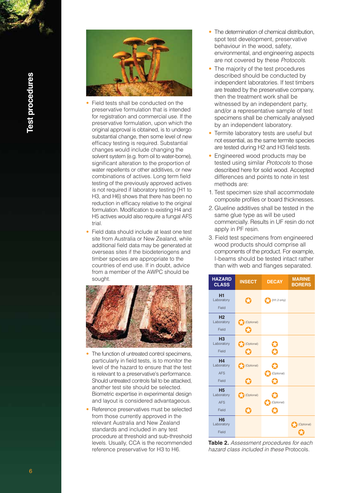

- Field tests shall be conducted on the preservative formulation that is intended for registration and commercial use. If the preservative formulation, upon which the original approval is obtained, is to undergo substantial change, then some level of new efficacy testing is required. Substantial changes would include changing the solvent system (e.g. from oil to water-borne), significant alteration to the proportion of water repellents or other additives, or new combinations of actives. Long term field testing of the previously approved actives is not required if laboratory testing (H1 to H3, and H6) shows that there has been no reduction in efficacy relative to the original formulation. Modification to existing H4 and H5 actives would also require a fungal AFS trial.
- Field data should include at least one test site from Australia or New Zealand, while additional field data may be generated at overseas sites if the biodeteriogens and timber species are appropriate to the countries of end use. If in doubt, advice from a member of the AWPC should be sought.



- The function of untreated control specimens, particularly in field tests, is to monitor the level of the hazard to ensure that the test is relevant to a preservative's performance. Should untreated controls fail to be attacked, another test site should be selected. Biometric expertise in experimental design and layout is considered advantageous.
- Reference preservatives must be selected from those currently approved in the relevant Australia and New Zealand standards and included in any test procedure at threshold and sub-threshold levels. Usually, CCA is the recommended reference preservative for H3 to H6.
- The determination of chemical distribution, spot test development, preservative behaviour in the wood, safety, environmental, and engineering aspects are not covered by these *Protocols*.
- The majority of the test procedures described should be conducted by independent laboratories. If test timbers are treated by the preservative company, then the treatment work shall be witnessed by an independent party, and/or a representative sample of test specimens shall be chemically analysed by an independent laboratory.
- Termite laboratory tests are useful but not essential, as the same termite species are tested during H2 and H3 field tests.
- Engineered wood products may be tested using similar *Protocols* to those described here for solid wood. Accepted differences and points to note in test methods are:
- 1. Test specimen size shall accommodate composite profiles or board thicknesses.
- 2. Glueline additives shall be tested in the same glue type as will be used commercially. Results in UF resin do not apply in PF resin.
- 3. Field test specimens from engineered wood products should comprise all components of the product. For example, I-beams should be tested intact rather than with web and flanges separated.



**Table 2.** *Assessment procedures for each hazard class included in these* Protocols*.*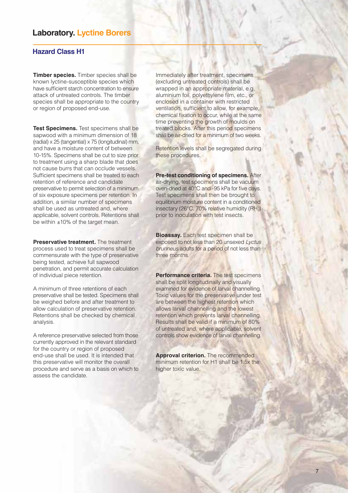### **Laboratory. Lyctine Borers**

### **Hazard Class H1**

**Timber species.** Timber species shall be known lyctine-susceptible species which have sufficient starch concentration to ensure attack of untreated controls. The timber species shall be appropriate to the country or region of proposed end-use.

**Test Specimens.** Test specimens shall be sapwood with a minimum dimension of 18 (radial) x 25 (tangential) x 75 (longitudinal) mm, and have a moisture content of between 10-15%. Specimens shall be cut to size prior to treatment using a sharp blade that does not cause burrs that can occlude vessels. Sufficient specimens shall be treated to each retention of reference and candidate preservative to permit selection of a minimum of six exposure specimens per retention. In addition, a similar number of specimens shall be used as untreated and, where applicable, solvent controls. Retentions shall be within ±10% of the target mean.

**Preservative treatment.** The treatment process used to treat specimens shall be commensurate with the type of preservative being tested, achieve full sapwood penetration, and permit accurate calculation of individual piece retention.

A minimum of three retentions of each preservative shall be tested. Specimens shall be weighed before and after treatment to allow calculation of preservative retention. Retentions shall be checked by chemical analysis.

A reference preservative selected from those currently approved in the relevant standard for the country or region of proposed end-use shall be used. It is intended that this preservative will monitor the overall procedure and serve as a basis on which to assess the candidate.

Immediately after treatment, specimens (excluding untreated controls) shall be wrapped in an appropriate material, e.g. aluminium foil, polyethylene film, etc., or enclosed in a container with restricted ventilation, sufficient to allow, for example, chemical fixation to occur, while at the same time preventing the growth of moulds on treated blocks. After this period specimens shall be air-dried for a minimum of two weeks.

Retention levels shall be segregated during these procedures.

**Pre-test conditioning of specimens.** After air-drying, test specimens shall be vacuum oven-dried at 40°C and -95 kPa for five days. Test specimens shall then be brought to equilibrium moisture content in a conditioned insectary (26°C, 70% relative humidity (RH)) prior to inoculation with test insects.

**Bioassay.** Each test specimen shall be exposed to not less than 20 unsexed *Lyctus brunneus* adults for a period of not less than three months.

**Performance criteria.** The test specimens shall be split longitudinally and visually examined for evidence of larval channelling. Toxic values for the preservative under test are between the highest retention which allows larval channelling and the lowest retention which prevents larval channelling. Results shall be valid if a minimum of 80% of untreated and, where applicable, solvent controls show evidence of larval channelling.

**Approval criterion.** The recommended minimum retention for H1 shall be 1.5x the higher toxic value.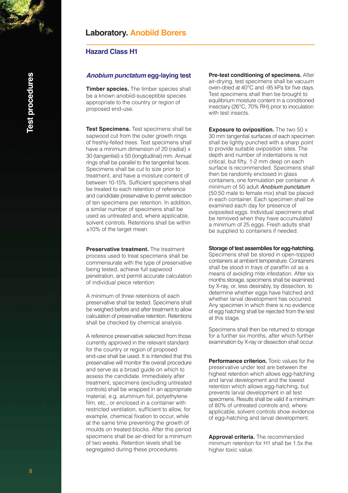### **Laboratory. Anobiid Borers**

#### **Hazard Class H1**

#### *Anobium punctatum* **egg-laying test**

**Timber species.** The timber species shall be a known anobiid-susceptible species appropriate to the country or region of proposed end-use.

**Test Specimens.** Test specimens shall be sapwood cut from the outer growth rings of freshly-felled trees. Test specimens shall have a minimum dimension of 20 (radial) x 30 (tangential) x 50 (longitudinal) mm. Annual rings shall be parallel to the tangential faces. Specimens shall be cut to size prior to treatment, and have a moisture content of between 10-15%. Sufficient specimens shall be treated to each retention of reference and candidate preservative to permit selection of ten specimens per retention. In addition, a similar number of specimens shall be used as untreated and, where applicable, solvent controls. Retentions shall be within ±10% of the target mean.

**Preservative treatment.** The treatment process used to treat specimens shall be commensurate with the type of preservative being tested, achieve full sapwood penetration, and permit accurate calculation of individual piece retention.

A minimum of three retentions of each preservative shall be tested. Specimens shall be weighed before and after treatment to allow calculation of preservative retention. Retentions shall be checked by chemical analysis.

A reference preservative selected from those currently approved in the relevant standard for the country or region of proposed end-use shall be used. It is intended that this preservative will monitor the overall procedure and serve as a broad guide on which to assess the candidate. Immediately after treatment, specimens (excluding untreated controls) shall be wrapped in an appropriate material, e.g. aluminium foil, polyethylene film, etc., or enclosed in a container with restricted ventilation, sufficient to allow, for example, chemical fixation to occur, while at the same time preventing the growth of moulds on treated blocks. After this period specimens shall be air-dried for a minimum of two weeks. Retention levels shall be segregated during these procedures.

**Pre-test conditioning of specimens.** After air-drying, test specimens shall be vacuum oven-dried at 40°C and -95 kPa for five days. Test specimens shall then be brought to equilibrium moisture content in a conditioned insectary (26°C, 70% RH) prior to inoculation with test insects.

**Exposure to oviposition.** The two 50 x 30 mm tangential surfaces of each specimen shall be lightly punched with a sharp point to provide suitable oviposition sites. The depth and number of indentations is not critical, but fifty, 1-2 mm deep on each surface is recommended. Specimens shall then be randomly enclosed in glass containers, one formulation per container. A minimum of 50 adult *Anobium punctatum*  (50:50 male to female mix) shall be placed in each container. Each specimen shall be examined each day for presence of oviposited eggs. Individual specimens shall be removed when they have accumulated a minimum of 25 eggs. Fresh adults shall be supplied to containers if needed.

**Storage of test assemblies for egg-hatching.**

Specimens shall be stored in open-topped containers at ambient temperature. Containers shall be stood in trays of paraffin oil as a means of avoiding mite infestation. After six months storage, specimens shall be examined by X-ray, or, less desirably, by dissection, to determine whether eggs have hatched and whether larval development has occurred. Any specimen in which there is no evidence of egg hatching shall be rejected from the test at this stage.

Specimens shall then be returned to storage for a further six months, after which further examination by X-ray or dissection shall occur.

**Performance criterion.** Toxic values for the preservative under test are between the highest retention which allows egg-hatching and larval development and the lowest retention which allows egg-hatching, but prevents larval development in all test specimens. Results shall be valid if a minimum of 80% of untreated controls and, where applicable, solvent controls show evidence of egg-hatching and larval development.

**Approval criteria.** The recommended minimum retention for H1 shall be 1.5x the higher toxic value.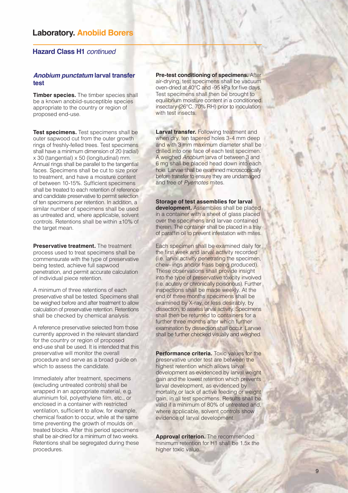### **Laboratory. Anobiid Borers**

#### **Hazard Class H1** *continued*

#### *Anobium punctatum* **larval transfer test**

**Timber species.** The timber species shall be a known anobiid-susceptible species appropriate to the country or region of proposed end-use.

**Test specimens.** Test specimens shall be outer sapwood cut from the outer growth rings of freshly-felled trees. Test specimens shall have a minimum dimension of 20 (radial) x 30 (tangential) x 50 (longitudinal) mm. Annual rings shall be parallel to the tangential faces. Specimens shall be cut to size prior to treatment, and have a moisture content of between 10-15%. Sufficient specimens shall be treated to each retention of reference and candidate preservative to permit selection of ten specimens per retention. In addition, a similar number of specimens shall be used as untreated and, where applicable, solvent controls. Retentions shall be within ±10% of the target mean.

**Preservative treatment.** The treatment process used to treat specimens shall be commensurate with the type of preservative being tested, achieve full sapwood penetration, and permit accurate calculation of individual piece retention.

A minimum of three retentions of each preservative shall be tested. Specimens shall be weighed before and after treatment to allow calculation of preservative retention. Retentions shall be checked by chemical analysis.

A reference preservative selected from those currently approved in the relevant standard for the country or region of proposed end-use shall be used. It is intended that this preservative will monitor the overall procedure and serve as a broad guide on which to assess the candidate.

Immediately after treatment, specimens (excluding untreated controls) shall be wrapped in an appropriate material, e.g. aluminium foil, polyethylene film, etc., or enclosed in a container with restricted ventilation, sufficient to allow, for example, chemical fixation to occur, while at the same time preventing the growth of moulds on treated blocks. After this period specimens shall be air-dried for a minimum of two weeks. Retentions shall be segregated during these procedures.

**Pre-test conditioning of specimens.** After air-drying, test specimens shall be vacuum oven-dried at 40°C and -95 kPa for five days. Test specimens shall then be brought to equilibrium moisture content in a conditioned insectary (26°C, 70% RH) prior to inoculation with test insects.

**Larval transfer.** Following treatment and when dry, ten tapered holes 3-4 mm deep and with 3 mm maximum diameter shall be drilled into one face of each test specimen. A weighed *Anobium* larva of between 3 and 6 mg shall be placed head down into each hole. Larvae shall be examined microscopically before transfer to ensure they are undamaged and free of *Pyemotes* mites.

**Storage of test assemblies for larval development.** Assemblies shall be placed in a container with a sheet of glass placed over the specimens and larvae contained therein. The container shall be placed in a tray of paraffin oil to prevent infestation with mites.

Each specimen shall be examined daily for the first week and larval activity recorded (i.e. larval activity penetrating the specimen, chew- ings and/or frass being produced). These observations shall provide insight into the type of preservative toxicity involved (i.e. acutely or chronically poisonous). Further inspections shall be made weekly. At the end of three months specimens shall be examined by X-ray, or less desirably, by dissection, to assess larval activity. Specimens shall then be returned to containers for a further three months after which further examination by dissection shall occur. Larvae shall be further checked visually and weighed.

**Performance criteria.** Toxic values for the preservative under test are between the highest retention which allows larval development as evidenced by larval weight gain and the lowest retention which prevents larval development, as evidenced by mortality or lack of active feeding or weight gain, in all test specimens. Results shall be valid if a minimum of 80% of untreated and, where applicable, solvent controls show evidence of larval development.

**Approval criterion.** The recommended minimum retention for H1 shall be 1.5x the higher toxic value.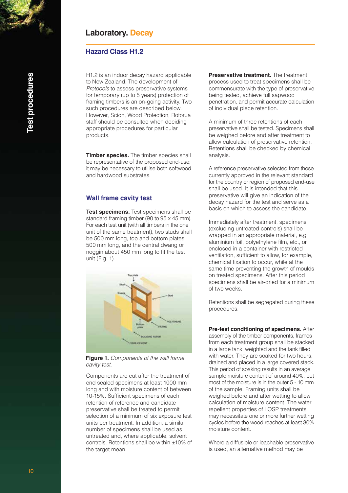### **Hazard Class H1.2**

H1.2 is an indoor decay hazard applicable to New Zealand. The development of *Protocols* to assess preservative systems for temporary (up to 5 years) protection of framing timbers is an on-going activity. Two such procedures are described below. However, Scion, Wood Protection, Rotorua staff should be consulted when deciding appropriate procedures for particular products.

**Timber species.** The timber species shall be representative of the proposed end-use; it may be necessary to utilise both softwood and hardwood substrates.

#### **Wall frame cavity test**

**Test specimens.** Test specimens shall be standard framing timber (90 to 95 x 45 mm). For each test unit (with all timbers in the one unit of the same treatment), two studs shall be 500 mm long, top and bottom plates 500 mm long, and the central dwang or noggin about 450 mm long to fit the test unit (Fig. 1).



**Figure 1.** *Components of the wall frame cavity test.*

Components are cut after the treatment of end sealed specimens at least 1000 mm long and with moisture content of between 10-15%. Sufficient specimens of each retention of reference and candidate preservative shall be treated to permit selection of a minimum of six exposure test units per treatment. In addition, a similar number of specimens shall be used as untreated and, where applicable, solvent controls. Retentions shall be within ±10% of the target mean.

**Preservative treatment.** The treatment process used to treat specimens shall be commensurate with the type of preservative being tested, achieve full sapwood penetration, and permit accurate calculation of individual piece retention.

A minimum of three retentions of each preservative shall be tested. Specimens shall be weighed before and after treatment to allow calculation of preservative retention. Retentions shall be checked by chemical analysis.

A reference preservative selected from those currently approved in the relevant standard for the country or region of proposed end-use shall be used. It is intended that this preservative will give an indication of the decay hazard for the test and serve as a basis on which to assess the candidate.

Immediately after treatment, specimens (excluding untreated controls) shall be wrapped in an appropriate material, e.g. aluminium foil, polyethylene film, etc., or enclosed in a container with restricted ventilation, sufficient to allow, for example, chemical fixation to occur, while at the same time preventing the growth of moulds on treated specimens. After this period specimens shall be air-dried for a minimum of two weeks.

Retentions shall be segregated during these procedures.

**Pre-test conditioning of specimens.** After assembly of the timber components, frames from each treatment group shall be stacked in a large tank, weighted and the tank filled with water. They are soaked for two hours, drained and placed in a large covered stack. This period of soaking results in an average sample moisture content of around 40%, but most of the moisture is in the outer 5 - 10 mm of the sample. Framing units shall be weighed before and after wetting to allow calculation of moisture content. The water repellent properties of LOSP treatments may necessitate one or more further wetting cycles before the wood reaches at least 30% moisture content.

Where a diffusible or leachable preservative is used, an alternative method may be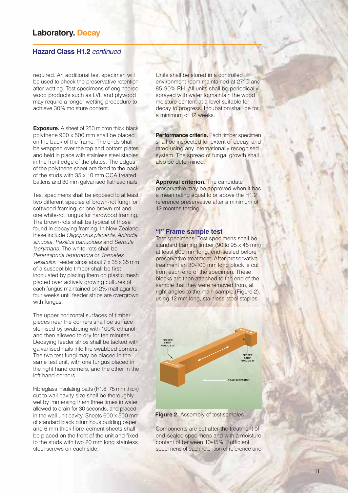#### **Hazard Class H1.2** *continued*

required. An additional test specimen will be used to check the preservative retention after wetting. Test specimens of engineered wood products such as LVL and plywood may require a longer wetting procedure to achieve 30% moisture content.

**Exposure.** A sheet of 250 micron thick black polythene 900 x 500 mm shall be placed on the back of the frame. The ends shall be wrapped over the top and bottom plates and held in place with stainless steel staples in the front edge of the plates. The edges of the polythene sheet are fixed to the back of the studs with 35 x 10 mm CCA treated battens and 30 mm galvanised flathead nails.

Test specimens shall be exposed to at least two different species of brown-rot fungi for softwood framing, or one brown-rot and one white-rot fungus for hardwood framing. The brown-rots shall be typical of those found in decaying framing. In New Zealand these include *Oligoporus placenta, Antrodia sinuosa, Paxillus panuoides* and *Serpula lacrymans*. The white-rots shall be *Perenniporia tephropora* or *Trametes versicolor*. Feeder strips about 7 x 35 x 35 mm of a susceptible timber shall be first inoculated by placing them on plastic mesh placed over actively growing cultures of each fungus maintained on 2% malt agar for four weeks until feeder strips are overgrown with fungus.

The upper horizontal surfaces of timber pieces near the corners shall be surface sterilised by swabbing with 100% ethanol, and then allowed to dry for ten minutes. Decaying feeder strips shall be tacked with galvanised nails into the swabbed corners. The two test fungi may be placed in the same test unit, with one fungus placed in the right hand corners, and the other in the left hand corners.

Fibreglass insulating batts (R1.8, 75 mm thick) cut to wall cavity size shall be thoroughly wet by immersing them three times in water, allowed to drain for 30 seconds, and placed in the wall unit cavity. Sheets 600 x 500 mm of standard black bituminous building paper and 6 mm thick fibre-cement sheets shall be placed on the front of the unit and fixed to the studs with two 20 mm long stainless steel screws on each side.

Units shall be stored in a controlled environment room maintained at 27°C and 85-90% RH. All units shall be periodically sprayed with water to maintain the wood moisture content at a level suitable for decay to progress. Incubation shall be for a minimum of 12 weeks.

**Performance criteria.** Each timber specimen shall be inspected for extent of decay, and rated using any internationally recognised system. The spread of fungal growth shall also be determined.

**Approval criterion.** The candidate preservative may be approved when it has a mean rating equal to or above the H1.2 reference preservative after a minimum of 12 months testing.

#### **"I" Frame sample test**

Test specimens. Test specimens shall be standard framing timber (90 to 95 x 45 mm) at least 600 mm long, end-sealed before preservative treatment. After preservative treatment an 80-100 mm long block is cut from each end of the specimen. These blocks are then attached to the end of the sample that they were removed from, at right angles to the main sample (Figure 2), using 12 mm long, stainless-steel staples.



**Figure 2.** Assembly of test samples

Components are cut after the treatment of end-sealed specimens and with a moisture content of between 10-15%. Sufficient specimens of each retention of reference and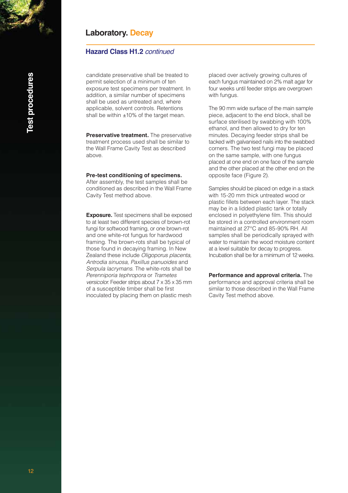### **Hazard Class H1.2** *continued*

candidate preservative shall be treated to permit selection of a minimum of ten exposure test specimens per treatment. In addition, a similar number of specimens shall be used as untreated and, where applicable, solvent controls. Retentions shall be within ±10% of the target mean.

**Preservative treatment.** The preservative treatment process used shall be similar to the Wall Frame Cavity Test as described above.

#### **Pre-test conditioning of specimens.**

After assembly, the test samples shall be conditioned as described in the Wall Frame Cavity Test method above.

**Exposure.** Test specimens shall be exposed to at least two different species of brown-rot fungi for softwood framing, or one brown-rot and one white-rot fungus for hardwood framing. The brown-rots shall be typical of those found in decaying framing. In New Zealand these include *Oligoporus placenta, Antrodia sinuosa, Paxillus panuoides* and *Serpula lacrymans*. The white-rots shall be *Perenniporia tephropora* or *Trametes versicolor*. Feeder strips about 7 x 35 x 35 mm of a susceptible timber shall be first inoculated by placing them on plastic mesh

placed over actively growing cultures of each fungus maintained on 2% malt agar for four weeks until feeder strips are overgrown with fungus.

The 90 mm wide surface of the main sample piece, adjacent to the end block, shall be surface sterilised by swabbing with 100% ethanol, and then allowed to dry for ten minutes. Decaying feeder strips shall be tacked with galvanised nails into the swabbed corners. The two test fungi may be placed on the same sample, with one fungus placed at one end on one face of the sample and the other placed at the other end on the opposite face (Figure 2).

Samples should be placed on edge in a stack with 15-20 mm thick untreated wood or plastic fillets between each layer. The stack may be in a lidded plastic tank or totally enclosed in polyethylene film. This should be stored in a controlled environment room maintained at 27°C and 85-90% RH. All samples shall be periodically sprayed with water to maintain the wood moisture content at a level suitable for decay to progress. Incubation shall be for a minimum of 12 weeks.

**Performance and approval criteria.** The performance and approval criteria shall be similar to those described in the Wall Frame Cavity Test method above.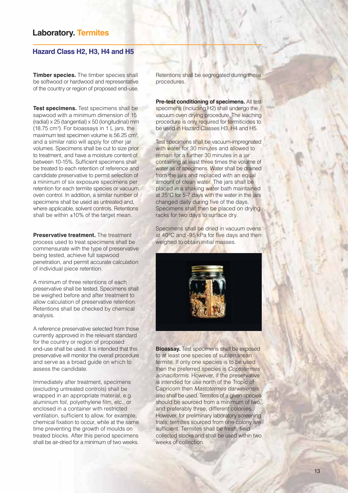### **Laboratory. Termites**

### **Hazard Class H2, H3, H4 and H5**

**Timber species.** The timber species shall be softwood or hardwood and representative of the country or region of proposed end-use.

**Test specimens.** Test specimens shall be sapwood with a minimum dimension of 15 (radial) x 25 (tangential) x 50 (longitudinal) mm (18.75 cm<sup>3</sup>). For bioassays in 1 L jars, the maximum test specimen volume is 56.25 cm<sup>3</sup>, and a similar ratio will apply for other jar volumes. Specimens shall be cut to size prior to treatment, and have a moisture content of between 10-15%. Sufficient specimens shall be treated to each retention of reference and candidate preservative to permit selection of a minimum of six exposure specimens per retention for each termite species or vacuum oven control. In addition, a similar number of specimens shall be used as untreated and, where applicable, solvent controls. Retentions shall be within ±10% of the target mean.

**Preservative treatment.** The treatment process used to treat specimens shall be commensurate with the type of preservative being tested, achieve full sapwood penetration, and permit accurate calculation of individual piece retention.

A minimum of three retentions of each preservative shall be tested. Specimens shall be weighed before and after treatment to allow calculation of preservative retention. Retentions shall be checked by chemical analysis.

A reference preservative selected from those currently approved in the relevant standard for the country or region of proposed end-use shall be used. It is intended that this preservative will monitor the overall procedure and serve as a broad guide on which to assess the candidate.

Immediately after treatment, specimens (excluding untreated controls) shall be wrapped in an appropriate material, e.g. aluminium foil, polyethylene film, etc., or enclosed in a container with restricted ventilation, sufficient to allow, for example, chemical fixation to occur, while at the same time preventing the growth of moulds on treated blocks. After this period specimens shall be air-dried for a minimum of two weeks.

Retentions shall be segregated during these procedures.

**Pre-test conditioning of specimens.** All test specimens (including H2) shall undergo the vacuum oven drying procedure. The leaching procedure is only required for termiticides to be used in Hazard Classes H3, H4 and H5.

Test specimens shall be vacuum-impregnated with water for 30 minutes and allowed to remain for a further 30 minutes in a jar containing at least three times the volume of water as of specimens. Water shall be drained from the jars and replaced with an equal amount of clean water. The jars shall be placed in a shaking water bath maintained at 35°C for 5-7 days with the water in the jars changed daily during five of the days. Specimens shall then be placed on drying racks for two days to surface dry.

Specimens shall be dried in vacuum ovens at 40°C and -95 kPa for five days and then weighed to obtain initial masses.



**Bioassay.** Test specimens shall be exposed to at least one species of subterranean termite. If only one species is to be used then the preferred species is *Coptotermes acinaciformis*. However, if the preservative is intended for use north of the Tropic of Capricorn then *Mastotermes darwiniensis* also shall be used. Termites of a given species should be sourced from a minimum of two, and preferably three, different colonies. However, for preliminary laboratory screening trials, termites sourced from one colony are sufficient. Termites shall be fresh, field collected stocks and shall be used within two weeks of collection.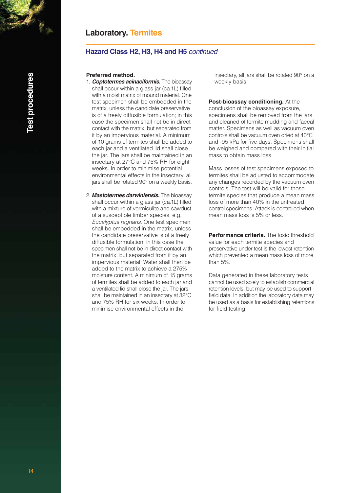### **Laboratory. Termites**

### **Hazard Class H2, H3, H4 and H5** *continued*

#### **Preferred method.**

- 1. *Coptotermes acinaciformis.* The bioassay shall occur within a glass jar (ca.1L) filled with a moist matrix of mound material. One test specimen shall be embedded in the matrix, unless the candidate preservative is of a freely diffusible formulation; in this case the specimen shall not be in direct contact with the matrix, but separated from it by an impervious material. A minimum of 10 grams of termites shall be added to each jar and a ventilated lid shall close the jar. The jars shall be maintained in an insectary at 27°C and 75% RH for eight weeks. In order to minimise potential environmental effects in the insectary, all jars shall be rotated 90° on a weekly basis.
- 2. *Mastotermes darwiniensis.* The bioassay shall occur within a glass jar (ca.1L) filled with a mixture of vermiculite and sawdust of a susceptible timber species, e.g. *Eucalyptus regnans*. One test specimen shall be embedded in the matrix, unless the candidate preservative is of a freely diffusible formulation; in this case the specimen shall not be in direct contact with the matrix, but separated from it by an impervious material. Water shall then be added to the matrix to achieve a 275% moisture content. A minimum of 15 grams of termites shall be added to each jar and a ventilated lid shall close the jar. The jars shall be maintained in an insectary at 32°C and 75% RH for six weeks. In order to minimise environmental effects in the

 insectary, all jars shall be rotated 90° on a weekly basis.

#### **Post-bioassay conditioning.** At the

conclusion of the bioassay exposure, specimens shall be removed from the jars and cleaned of termite mudding and faecal matter. Specimens as well as vacuum oven controls shall be vacuum oven dried at 40°C and -95 kPa for five days. Specimens shall be weighed and compared with their initial mass to obtain mass loss.

Mass losses of test specimens exposed to termites shall be adjusted to accommodate any changes recorded by the vacuum oven controls. The test will be valid for those termite species that produce a mean mass loss of more than 40% in the untreated control specimens. Attack is controlled when mean mass loss is 5% or less.

**Performance criteria.** The toxic threshold value for each termite species and preservative under test is the lowest retention which prevented a mean mass loss of more than 5%.

Data generated in these laboratory tests cannot be used solely to establish commercial retention levels, but may be used to support field data. In addition the laboratory data may be used as a basis for establishing retentions for field testing.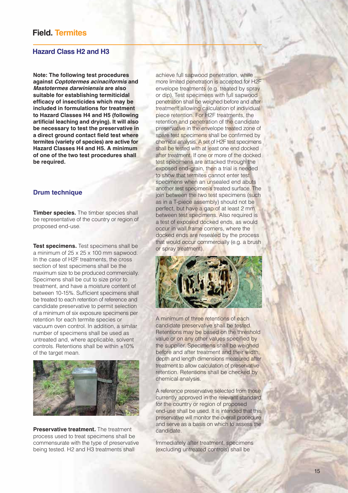#### **Hazard Class H2 and H3**

**Note: The following test procedures against** *Coptotermes acinaciformis* **and**  *Mastotermes darwiniensis* **are also suitable for establishing termiticidal efficacy of insecticides which may be included in formulations for treatment to Hazard Classes H4 and H5 (following artificial leaching and drying). It will also be necessary to test the preservative in a direct ground contact field test where termites (variety of species) are active for Hazard Classes H4 and H5. A minimum of one of the two test procedures shall be required.**

#### **Drum technique**

**Timber species.** The timber species shall be representative of the country or region of proposed end-use.

**Test specimens.** Test specimens shall be a minimum of 25 x 25 x 100 mm sapwood. In the case of H2F treatments, the cross section of test specimens shall be the maximum size to be produced commercially. Specimens shall be cut to size prior to treatment, and have a moisture content of between 10-15%. Sufficient specimens shall be treated to each retention of reference and candidate preservative to permit selection of a minimum of six exposure specimens per retention for each termite species or vacuum oven control. In addition, a similar number of specimens shall be used as untreated and, where applicable, solvent controls. Retentions shall be within ±10% of the target mean.



**Preservative treatment.** The treatment process used to treat specimens shall be commensurate with the type of preservative being tested. H2 and H3 treatments shall

achieve full sapwood penetration, while more limited penetration is accepted for H2F envelope treatments (e.g. treated by spray or dip). Test specimens with full sapwood penetration shall be weighed before and after treatment allowing calculation of individual piece retention. For H2F treatments, the retention and penetration of the candidate preservative in the envelope treated zone of spare test specimens shall be confirmed by chemical analysis. A set of H2F test specimens shall be tested with at least one end docked after treatment. If one or more of the docked test specimens are attacked through the exposed end-grain, then a trial is needed to show that termites cannot enter test specimens when an unsealed end abuts another test specimen's treated surface. The join between the two test specimens (such as in a T-piece assembly) should not be perfect, but have a gap of at least 2 mm between test specimens. Also required is a test of exposed docked ends, as would occur in wall frame corners, where the docked ends are resealed by the process that would occur commercially (e.g. a brush or spray treatment).



A minimum of three retentions of each candidate preservative shall be tested. Retentions may be based on the threshold value or on any other values specified by the supplier. Specimens shall be weighed before and after treatment and their width, depth and length dimensions measured after treatment to allow calculation of preservative retention. Retentions shall be checked by chemical analysis.

A reference preservative selected from those currently approved in the relevant standard for the country or region of proposed end-use shall be used. It is intended that this preservative will monitor the overall procedure and serve as a basis on which to assess the candidate.

Immediately after treatment, specimens (excluding untreated controls) shall be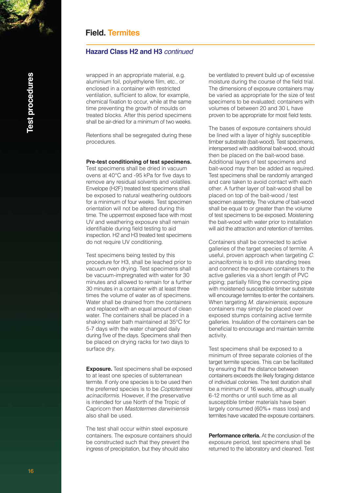### **Hazard Class H2 and H3** *continued*

wrapped in an appropriate material, e.g. aluminium foil, polyethylene film, etc., or enclosed in a container with restricted ventilation, sufficient to allow, for example, chemical fixation to occur, while at the same time preventing the growth of moulds on treated blocks. After this period specimens shall be air-dried for a minimum of two weeks.

Retentions shall be segregated during these procedures.

#### **Pre-test conditioning of test specimens.**

Test specimens shall be dried in vacuum ovens at 40°C and -95 kPa for five days to remove any residual solvents and volatiles. Envelope (H2F) treated test specimens shall be exposed to natural weathering outdoors for a minimum of four weeks. Test specimen orientation will not be altered during this time. The uppermost exposed face with most UV and weathering exposure shall remain identifiable during field testing to aid inspection. H2 and H3 treated test specimens do not require UV conditioning.

Test specimens being tested by this procedure for H3, shall be leached prior to vacuum oven drying. Test specimens shall be vacuum-impregnated with water for 30 minutes and allowed to remain for a further 30 minutes in a container with at least three times the volume of water as of specimens. Water shall be drained from the containers and replaced with an equal amount of clean water. The containers shall be placed in a shaking water bath maintained at 35°C for 5-7 days with the water changed daily during five of the days. Specimens shall then be placed on drying racks for two days to surface dry.

**Exposure.** Test specimens shall be exposed to at least one species of subterranean termite. If only one species is to be used then the preferred species is to be *Coptotermes acinaciformis*. However, if the preservative is intended for use North of the Tropic of Capricorn then *Mastotermes darwiniensis* also shall be used.

The test shall occur within steel exposure containers. The exposure containers should be constructed such that they prevent the ingress of precipitation, but they should also

be ventilated to prevent build up of excessive moisture during the course of the field trial. The dimensions of exposure containers may be varied as appropriate for the size of test specimens to be evaluated; containers with volumes of between 20 and 30 L have proven to be appropriate for most field tests.

The bases of exposure containers should be lined with a layer of highly susceptible timber substrate (bait-wood). Test specimens, interspersed with additional bait-wood, should then be placed on the bait-wood base. Additional layers of test specimens and bait-wood may then be added as required. Test specimens shall be randomly arranged and care taken to avoid contact with each other. A further layer of bait-wood shall be placed on top of the bait-wood / test specimen assembly. The volume of bait-wood shall be equal to or greater than the volume of test specimens to be exposed. Moistening the bait-wood with water prior to installation will aid the attraction and retention of termites.

Containers shall be connected to active galleries of the target species of termite. A useful, proven approach when targeting *C. acinaciformis* is to drill into standing trees and connect the exposure containers to the active galleries via a short length of PVC piping; partially filling the connecting pipe with moistened susceptible timber substrate will encourage termites to enter the containers. When targeting *M. darwiniensis*, exposure containers may simply be placed over exposed stumps containing active termite galleries. Insulation of the containers can be beneficial to encourage and maintain termite activity.

Test specimens shall be exposed to a minimum of three separate colonies of the target termite species. This can be facilitated by ensuring that the distance between containers exceeds the likely foraging distance of individual colonies. The test duration shall be a minimum of 16 weeks, although usually 6-12 months or until such time as all susceptible timber materials have been largely consumed (60%+ mass loss) and termites have vacated the exposure containers.

**Performance criteria.** At the conclusion of the exposure period, test specimens shall be returned to the laboratory and cleaned. Test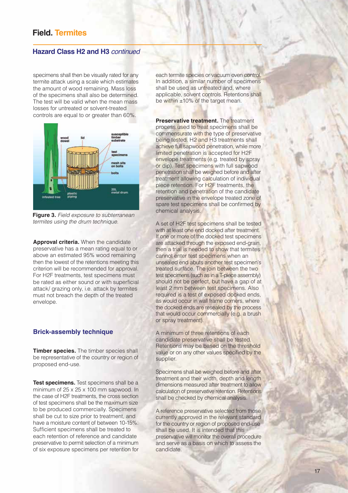### **Hazard Class H2 and H3** *continued*

specimens shall then be visually rated for any termite attack using a scale which estimates the amount of wood remaining. Mass loss of the specimens shall also be determined. The test will be valid when the mean mass losses for untreated or solvent-treated controls are equal to or greater than 60%.



**Figure 3.** *Field exposure to subterranean termites using the drum technique.*

**Approval criteria.** When the candidate preservative has a mean rating equal to or above an estimated 95% wood remaining then the lowest of the retentions meeting this criterion will be recommended for approval. For H2F treatments, test specimens must be rated as either sound or with superficial attack/ grazing only, i.e. attack by termites must not breach the depth of the treated envelope.

#### **Brick-assembly technique**

**Timber species.** The timber species shall be representative of the country or region of proposed end-use.

**Test specimens.** Test specimens shall be a minimum of 25 x 25 x 100 mm sapwood. In the case of H2F treatments, the cross section of test specimens shall be the maximum size to be produced commercially. Specimens shall be cut to size prior to treatment, and have a moisture content of between 10-15%. Sufficient specimens shall be treated to each retention of reference and candidate preservative to permit selection of a minimum of six exposure specimens per retention for

each termite species or vacuum oven control. In addition, a similar number of specimens shall be used as untreated and, where applicable, solvent controls. Retentions shall be within ±10% of the target mean.

**Preservative treatment**. The treatment process used to treat specimens shall be commensurate with the type of preservative being tested. H2 and H3 treatments shall achieve full sapwood penetration, while more limited penetration is accepted for H2F envelope treatments (e.g. treated by spray or dip). Test specimens with full sapwood penetration shall be weighed before and after treatment allowing calculation of individual piece retention. For H2F treatments, the retention and penetration of the candidate preservative in the envelope treated zone of spare test specimens shall be confirmed by chemical analysis.

A set of H2F test specimens shall be tested with at least one end docked after treatment. If one or more of the docked test specimens are attacked through the exposed end-grain, then a trial is needed to show that termites cannot enter test specimens when an unsealed end abuts another test specimen's treated surface. The join between the two test specimens (such as in a T-piece assembly) should not be perfect, but have a gap of at least 2 mm between test specimens. Also required is a test of exposed docked ends, as would occur in wall frame corners, where the docked ends are resealed by the process that would occur commercially (e.g. a brush or spray treatment).

A minimum of three retentions of each candidate preservative shall be tested. Retentions may be based on the threshold value or on any other values specified by the supplier.

Specimens shall be weighed before and after treatment and their width, depth and length dimensions measured after treatment to allow calculation of preservative retention. Retentions shall be checked by chemical analysis.

A reference preservative selected from those currently approved in the relevant standard for the country or region of proposed end-use shall be used. It is intended that this preservative will monitor the overall procedure and serve as a basis on which to assess the candidate.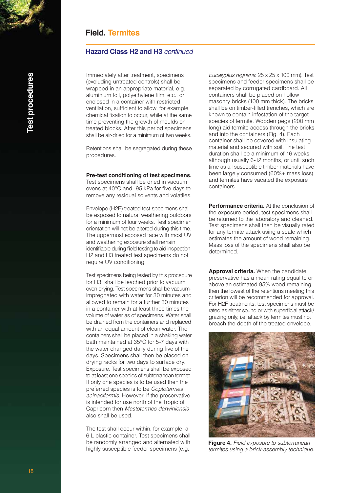### **Hazard Class H2 and H3** *continued*

Immediately after treatment, specimens (excluding untreated controls) shall be wrapped in an appropriate material, e.g. aluminium foil, polyethylene film, etc., or enclosed in a container with restricted ventilation, sufficient to allow, for example, chemical fixation to occur, while at the same time preventing the growth of moulds on treated blocks. After this period specimens shall be air-dried for a minimum of two weeks.

Retentions shall be segregated during these procedures.

#### **Pre-test conditioning of test specimens.**

Test specimens shall be dried in vacuum ovens at 40°C and -95 kPa for five days to remove any residual solvents and volatiles.

Envelope (H2F) treated test specimens shall be exposed to natural weathering outdoors for a minimum of four weeks. Test specimen orientation will not be altered during this time. The uppermost exposed face with most UV and weathering exposure shall remain identifiable during field testing to aid inspection. H2 and H3 treated test specimens do not require UV conditioning.

Test specimens being tested by this procedure for H3, shall be leached prior to vacuum oven drying. Test specimens shall be vacuumimpregnated with water for 30 minutes and allowed to remain for a further 30 minutes in a container with at least three times the volume of water as of specimens. Water shall be drained from the containers and replaced with an equal amount of clean water. The containers shall be placed in a shaking water bath maintained at 35°C for 5-7 days with the water changed daily during five of the days. Specimens shall then be placed on drying racks for two days to surface dry. Exposure. Test specimens shall be exposed to at least one species of subterranean termite. If only one species is to be used then the preferred species is to be *Coptotermes acinaciformis*. However, if the preservative is intended for use north of the Tropic of Capricorn then *Mastotermes darwiniensis* also shall be used.

The test shall occur within, for example, a 6 L plastic container. Test specimens shall be randomly arranged and alternated with highly susceptible feeder specimens (e.g.

*Eucalyptus regnans*: 25 x 25 x 100 mm). Test specimens and feeder specimens shall be separated by corrugated cardboard. All containers shall be placed on hollow masonry bricks (100 mm thick). The bricks shall be on timber-filled trenches, which are known to contain infestation of the target species of termite. Wooden pegs (200 mm long) aid termite access through the bricks and into the containers (Fig. 4). Each container shall be covered with insulating material and secured with soil. The test duration shall be a minimum of 16 weeks, although usually 6-12 months, or until such time as all susceptible timber materials have been largely consumed (60%+ mass loss) and termites have vacated the exposure containers.

**Performance criteria.** At the conclusion of the exposure period, test specimens shall be returned to the laboratory and cleaned. Test specimens shall then be visually rated for any termite attack using a scale which estimates the amount of wood remaining. Mass loss of the specimens shall also be determined.

**Approval criteria.** When the candidate preservative has a mean rating equal to or above an estimated 95% wood remaining then the lowest of the retentions meeting this criterion will be recommended for approval. For H2F treatments, test specimens must be rated as either sound or with superficial attack/ grazing only, i.e. attack by termites must not breach the depth of the treated envelope.



**Figure 4.** *Field exposure to subterranean termites using a brick-assembly technique.*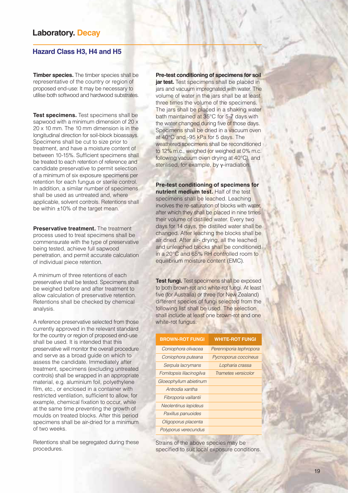#### **Hazard Class H3, H4 and H5**

**Timber species.** The timber species shall be representative of the country or region of proposed end-use: It may be necessary to utilise both softwood and hardwood substrates.

**Test specimens.** Test specimens shall be sapwood with a minimum dimension of 20 x 20 x 10 mm. The 10 mm dimension is in the longitudinal direction for soil-block bioassays. Specimens shall be cut to size prior to treatment, and have a moisture content of between 10-15%. Sufficient specimens shall be treated to each retention of reference and candidate preservative to permit selection of a minimum of six exposure specimens per retention for each fungus or sterile control. In addition, a similar number of specimens shall be used as untreated and, where applicable, solvent controls. Retentions shall be within ±10% of the target mean.

**Preservative treatment.** The treatment process used to treat specimens shall be commensurate with the type of preservative being tested, achieve full sapwood penetration, and permit accurate calculation of individual piece retention.

A minimum of three retentions of each preservative shall be tested. Specimens shall be weighed before and after treatment to allow calculation of preservative retention. Retentions shall be checked by chemical analysis.

A reference preservative selected from those currently approved in the relevant standard for the country or region of proposed end-use shall be used. It is intended that this preservative will monitor the overall procedure and serve as a broad guide on which to assess the candidate. Immediately after treatment, specimens (excluding untreated controls) shall be wrapped in an appropriate material, e.g. aluminium foil, polyethylene film, etc., or enclosed in a container with restricted ventilation, sufficient to allow, for example, chemical fixation to occur, while at the same time preventing the growth of moulds on treated blocks. After this period specimens shall be air-dried for a minimum of two weeks.

Retentions shall be segregated during these procedures.

**Pre-test conditioning of specimens for soil jar test.** Test specimens shall be placed in jars and vacuum impregnated with water. The volume of water in the jars shall be at least three times the volume of the specimens. The jars shall be placed in a shaking water bath maintained at 35°C for 5-7 days with the water changed during five of those days. Specimens shall be dried in a vacuum oven at 40°C and -95 kPa for 5 days. The weathered specimens shall be reconditioned to 12% m.c., weighed (or weighed at 0% m.c. following vacuum oven drying at 40°C), and sterilised, for example, by γ-irradiation.

**Pre-test conditioning of specimens for nutrient medium test.** Half of the test specimens shall be leached. Leaching involves the re-saturation of blocks with water, after which they shall be placed in nine times their volume of distilled water. Every two days for 14 days, the distilled water shall be changed. After leaching the blocks shall be air dried. After air- drying, all the leached and unleached blocks shall be conditioned in a 20°C and 65% RH controlled room to equilibrium moisture content (EMC).

**Test fungi.** Test specimens shall be exposed to both brown-rot and white-rot fungi. At least five (for Australia) or three (for New Zealand) different species of fungi selected from the following list shall be used. The selection shall include at least one brown-rot and one white-rot fungus.

| <b>BROWN-ROT FUNGI</b>   | <b>WHITE-ROT FUNGI</b>  |
|--------------------------|-------------------------|
| Coniophora olivacea      | Perenniporia tephropora |
| Coniophora puteana       | Pycnoporus coccineus    |
| Serpula lacrymans        | Lopharia crassa         |
| Fomitopsis lilacinogilva | Trametes versicolor     |
| Gloeophyllum abietinum   |                         |
| Antrodia xantha          |                         |
| Fibroporia vaillantii    |                         |
| Neolentinus lepideus     |                         |
| Paxillus panuoides       |                         |
| Oligoporus placenta      |                         |
| Polyporus verecundus     |                         |

Strains of the above species may be specified to suit local exposure conditions.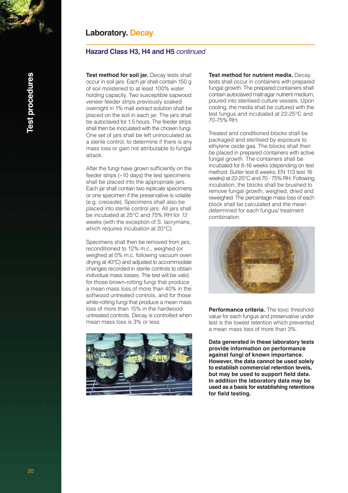### **Hazard Class H3, H4 and H5** *continued*

**Test method for soil jar.** Decay tests shall occur in soil jars. Each jar shall contain 150 g of soil moistened to at least 100% water holding capacity. Two susceptible sapwood veneer feeder strips previously soaked overnight in 1% malt extract solution shall be placed on the soil in each jar. The jars shall be autoclaved for 1.5 hours. The feeder strips shall then be inoculated with the chosen fungi. One set of jars shall be left uninoculated as a sterile control, to determine if there is any mass loss or gain not attributable to fungal attack.

After the fungi have grown sufficiently on the feeder strips (~10 days) the test specimens shall be placed into the appropriate jars. Each jar shall contain two replicate specimens or one specimen if the preservative is volatile (e.g. creosote). Specimens shall also be placed into sterile control jars. All jars shall be incubated at 25°C and 75% RH for 12 weeks (with the exception of S. lacrymans, which requires incubation at 20°C).

Specimens shall then be removed from jars, reconditioned to 12% m.c., weighed (or weighed at 0% m.c. following vacuum oven drying at 40°C) and adjusted to accommodate changes recorded in sterile controls to obtain individual mass losses. The test will be valid, for those brown-rotting fungi that produce a mean mass loss of more than 40% in the softwood untreated controls, and for those white-rotting fungi that produce a mean mass loss of more than 15% in the hardwood untreated controls. Decay is controlled when mean mass loss is 3% or less.



**Test method for nutrient media.** Decay tests shall occur in containers with prepared fungal growth. The prepared containers shall contain autoclaved malt-agar nutrient medium, poured into sterilised culture vessels. Upon cooling, the media shall be cultured with the test fungus and incubated at 22-25°C and 70-75% RH.

Treated and conditioned blocks shall be packaged and sterilised by exposure to ethylene oxide gas. The blocks shall then be placed in prepared containers with active fungal growth. The containers shall be incubated for 6-16 weeks (depending on test method: Sutter test 6 weeks; EN 113 test 16 weeks) at 22-25°C and 70 - 75% RH. Following incubation, the blocks shall be brushed to remove fungal growth, weighed, dried and reweighed. The percentage mass loss of each block shall be calculated and the mean determined for each fungus/ treatment combination.



**Performance criteria.** The toxic threshold value for each fungus and preservative under test is the lowest retention which prevented a mean mass loss of more than 3%.

**Data generated in these laboratory tests provide information on performance against fungi of known importance. However, the data cannot be used solely to establish commercial retention levels, but may be used to support field data. In addition the laboratory data may be used as a basis for establishing retentions for field testing.**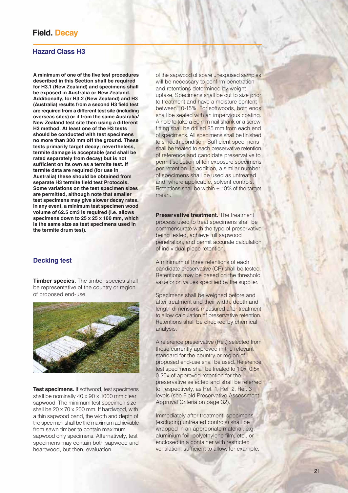### **Hazard Class H3**

**A minimum of one of the five test procedures described in this Section shall be required for H3.1 (New Zealand) and specimens shall be exposed in Australia or New Zealand. Additionally, for H3.2 (New Zealand) and H3 (Australia) results from a second H3 field test are required from a different test site (including overseas sites) or if from the same Australia/ New Zealand test site then using a different H3 method. At least one of the H3 tests should be conducted with test specimens no more than 300 mm off the ground. These tests primarily target decay; nevertheless, termite damage is acceptable (and shall be rated separately from decay) but is not sufficient on its own as a termite test. If termite data are required (for use in Australia) these should be obtained from separate H3 termite field test Protocols. Some variations on the test specimen sizes are permitted, although note that smaller test specimens may give slower decay rates. In any event, a minimum test specimen wood volume of 62.5 cm3 is required (i.e. allows specimens down to 25 x 25 x 100 mm, which is the same size as test specimens used in the termite drum test).**

#### **Decking test**

**Timber species.** The timber species shall be representative of the country or region of proposed end-use.



**Test specimens.** If softwood, test specimens shall be nominally 40 x 90 x 1000 mm clear sapwood. The minimum test specimen size shall be 20 x 70 x 200 mm. If hardwood, with a thin sapwood band, the width and depth of the specimen shall be the maximum achievable from sawn timber to contain maximum sapwood only specimens. Alternatively, test specimens may contain both sapwood and heartwood, but then, evaluation

of the sapwood of spare unexposed samples will be necessary to confirm penetration and retentions determined by weight uptake. Specimens shall be cut to size prior to treatment and have a moisture content between 10-15%. For softwoods, both ends shall be sealed with an impervious coating. A hole to take a 50 mm nail shank or a screw fitting shall be drilled 25 mm from each end of specimens. All specimens shall be finished to smooth condition. Sufficient specimens shall be treated to each preservative retention of reference and candidate preservative to permit selection of ten exposure specimens per retention. In addition, a similar number of specimens shall be used as untreated and, where applicable, solvent controls. Retentions shall be within  $\pm$  10% of the target mean.

**Preservative treatment.** The treatment process used to treat specimens shall be commensurate with the type of preservative being tested, achieve full sapwood penetration, and permit accurate calculation of individual piece retention.

A minimum of three retentions of each candidate preservative (CP) shall be tested. Retentions may be based on the threshold value or on values specified by the supplier.

Specimens shall be weighed before and after treatment and their width, depth and length dimensions measured after treatment to allow calculation of preservative retention. Retentions shall be checked by chemical analysis.

A reference preservative (Ref.) selected from those currently approved in the relevant standard for the country or region of proposed end-use shall be used. Reference test specimens shall be treated to 1.0x, 0.5x, 0.25x of approved retention for the preservative selected and shall be referred to, respectively, as Ref. 1, Ref. 2, Ref. 3 levels (see Field Preservative Assessment-Approval Criteria on page 32).

Immediately after treatment, specimens (excluding untreated controls) shall be wrapped in an appropriate material, e.g. aluminium foil, polyethylene film, etc., or enclosed in a container with restricted ventilation, sufficient to allow, for example,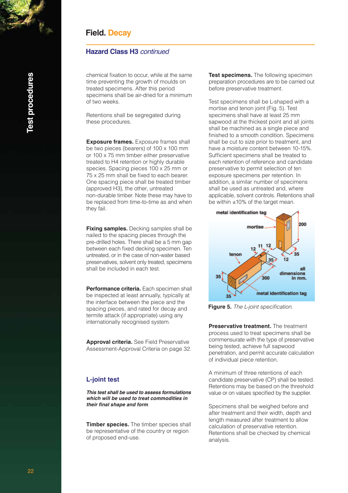### **Hazard Class H3** *continued*

chemical fixation to occur, while at the same time preventing the growth of moulds on treated specimens. After this period specimens shall be air-dried for a minimum of two weeks.

Retentions shall be segregated during these procedures.

**Exposure frames.** Exposure frames shall be two pieces (bearers) of 100 x 100 mm or 100 x 75 mm timber either preservative treated to H4 retention or highly durable species. Spacing pieces 100 x 25 mm or 75 x 25 mm shall be fixed to each bearer. One spacing piece shall be treated timber (approved H3), the other, untreated non-durable timber. Note these may have to be replaced from time-to-time as and when they fail.

**Fixing samples.** Decking samples shall be nailed to the spacing pieces through the pre-drilled holes. There shall be a 5 mm gap between each fixed decking specimen. Ten untreated, or in the case of non-water based preservatives, solvent only treated, specimens shall be included in each test.

**Performance criteria.** Each specimen shall be inspected at least annually, typically at the interface between the piece and the spacing pieces, and rated for decay and termite attack (if appropriate) using any internationally recognised system.

**Approval criteria.** See Field Preservative Assessment-Approval Criteria on page 32.

### **L-joint test**

*This test shall be used to assess formulations which will be used to treat commodities in their final shape and form*.

**Timber species.** The timber species shall be representative of the country or region of proposed end-use.

**Test specimens.** The following specimen preparation procedures are to be carried out before preservative treatment.

Test specimens shall be L-shaped with a mortise and tenon joint (Fig. 5). Test specimens shall have at least 25 mm sapwood at the thickest point and all joints shall be machined as a single piece and finished to a smooth condition. Specimens shall be cut to size prior to treatment, and have a moisture content between 10-15%. Sufficient specimens shall be treated to each retention of reference and candidate preservative to permit selection of ten exposure specimens per retention. In addition, a similar number of specimens shall be used as untreated and, where applicable, solvent controls. Retentions shall be within ±10% of the target mean.



**Figure 5.** The L-joint specification.

**Preservative treatment.** The treatment process used to treat specimens shall be commensurate with the type of preservative being tested, achieve full sapwood penetration, and permit accurate calculation of individual piece retention.

A minimum of three retentions of each candidate preservative (CP) shall be tested. Retentions may be based on the threshold value or on values specified by the supplier.

Specimens shall be weighed before and after treatment and their width, depth and length measured after treatment to allow calculation of preservative retention. Retentions shall be checked by chemical analysis.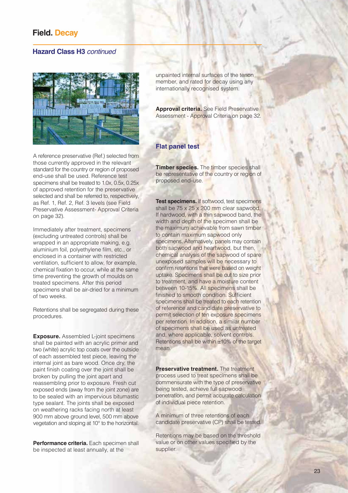#### **Hazard Class H3** *continued*



A reference preservative (Ref.) selected from those currently approved in the relevant standard for the country or region of proposed end-use shall be used. Reference test specimens shall be treated to 1.0x, 0.5x, 0.25x of approved retention for the preservative selected and shall be referred to, respectively, as Ref. 1, Ref. 2, Ref. 3 levels (see Field Preservative Assessment- Approval Criteria on page 32).

Immediately after treatment, specimens (excluding untreated controls) shall be wrapped in an appropriate making, e.g. aluminium foil, polyethylene film, etc., or enclosed in a container with restricted ventilation, sufficient to allow, for example, chemical fixation to occur, while at the same time preventing the growth of moulds on treated specimens. After this period specimens shall be air-dried for a minimum of two weeks.

Retentions shall be segregated during these procedures.

**Exposure.** Assembled L-joint specimens shall be painted with an acrylic primer and two (white) acrylic top coats over the outside of each assembled test piece, leaving the internal joint as bare wood. Once dry, the paint finish coating over the joint shall be broken by pulling the joint apart and reassembling prior to exposure. Fresh cut exposed ends (away from the joint zone) are to be sealed with an impervious bitumastic type sealant. The joints shall be exposed on weathering racks facing north at least 900 mm above ground level, 500 mm above vegetation and sloping at 10° to the horizontal.

**Performance criteria.** Each specimen shall be inspected at least annually, at the

unpainted internal surfaces of the tenon member, and rated for decay using any internationally recognised system.

**Approval criteria.** See Field Preservative Assessment - Approval Criteria on page 32.

### **Flat panel test**

**Timber species.** The timber species shall be representative of the country or region of proposed end-use.

**Test specimens.** If softwood, test specimens shall be 75 x 25 x 200 mm clear sapwood. If hardwood, with a thin sapwood band, the width and depth of the specimen shall be the maximum achievable from sawn timber to contain maximum sapwood only specimens. Alternatively, panels may contain both sapwood and heartwood, but then, chemical analysis of the sapwood of spare unexposed samples will be necessary to confirm retentions that were based on weight uptake. Specimens shall be cut to size prior to treatment, and have a moisture content between 10-15%. All specimens shall be finished to smooth condition. Sufficient specimens shall be treated to each retention of reference and candidate preservative to permit selection of ten exposure specimens per retention. In addition, a similar number of specimens shall be used as untreated and, where applicable, solvent controls. Retentions shall be within ±10% of the target mean.

**Preservative treatment.** The treatment process used to treat specimens shall be commensurate with the type of preservative being tested, achieve full sapwood penetration, and permit accurate calculation of individual piece retention.

A minimum of three retentions of each candidate preservative (CP) shall be tested.

Retentions may be based on the threshold value or on other values specified by the supplier.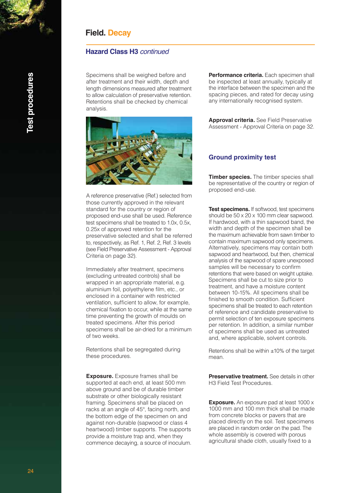### **Hazard Class H3** *continued*

Specimens shall be weighed before and after treatment and their width, depth and length dimensions measured after treatment to allow calculation of preservative retention. Retentions shall be checked by chemical analysis.



A reference preservative (Ref.) selected from those currently approved in the relevant standard for the country or region of proposed end-use shall be used. Reference test specimens shall be treated to 1.0x, 0.5x, 0.25x of approved retention for the preservative selected and shall be referred to, respectively, as Ref. 1, Ref. 2, Ref. 3 levels (see Field Preservative Assessment - Approval Criteria on page 32).

Immediately after treatment, specimens (excluding untreated controls) shall be wrapped in an appropriate material, e.g. aluminium foil, polyethylene film, etc., or enclosed in a container with restricted ventilation, sufficient to allow, for example, chemical fixation to occur, while at the same time preventing the growth of moulds on treated specimens. After this period specimens shall be air-dried for a minimum of two weeks.

Retentions shall be segregated during these procedures.

**Exposure.** Exposure frames shall be supported at each end, at least 500 mm above ground and be of durable timber substrate or other biologically resistant framing. Specimens shall be placed on racks at an angle of 45°, facing north, and the bottom edge of the specimen on and against non-durable (sapwood or class 4 heartwood) timber supports. The supports provide a moisture trap and, when they commence decaying, a source of inoculum. **Performance criteria.** Each specimen shall be inspected at least annually, typically at the interface between the specimen and the spacing pieces, and rated for decay using any internationally recognised system.

**Approval criteria.** See Field Preservative Assessment - Approval Criteria on page 32.

#### **Ground proximity test**

**Timber species.** The timber species shall be representative of the country or region of proposed end-use.

**Test specimens.** If softwood, test specimens should be 50 x 20 x 100 mm clear sapwood. If hardwood, with a thin sapwood band, the width and depth of the specimen shall be the maximum achievable from sawn timber to contain maximum sapwood only specimens. Alternatively, specimens may contain both sapwood and heartwood, but then, chemical analysis of the sapwood of spare unexposed samples will be necessary to confirm retentions that were based on weight uptake. Specimens shall be cut to size prior to treatment, and have a moisture content between 10-15%. All specimens shall be finished to smooth condition. Sufficient specimens shall be treated to each retention of reference and candidate preservative to permit selection of ten exposure specimens per retention. In addition, a similar number of specimens shall be used as untreated and, where applicable, solvent controls.

Retentions shall be within ±10% of the target mean.

**Preservative treatment.** See details in other H3 Field Test Procedures.

**Exposure.** An exposure pad at least 1000 x 1000 mm and 100 mm thick shall be made from concrete blocks or pavers that are placed directly on the soil. Test specimens are placed in random order on the pad. The whole assembly is covered with porous agricultural shade cloth, usually fixed to a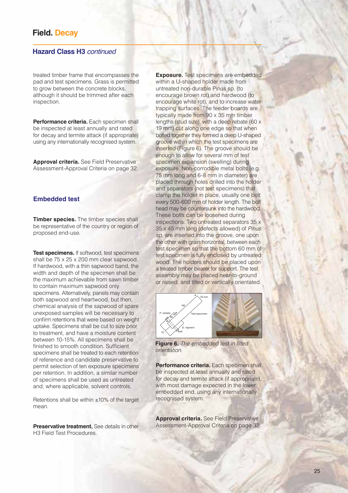#### **Hazard Class H3** *continued*

treated timber frame that encompasses the pad and test specimens. Grass is permitted to grow between the concrete blocks, although it should be trimmed after each inspection.

**Performance criteria.** Each specimen shall be inspected at least annually and rated for decay and termite attack (if appropriate) using any internationally recognised system.

**Approval criteria.** See Field Preservative Assessment-Approval Criteria on page 32.

#### **Embedded test**

**Timber species.** The timber species shall be representative of the country or region of proposed end-use.

**Test specimens.** If softwood, test specimens shall be 75 x 25 x 200 mm clear sapwood. If hardwood, with a thin sapwood band, the width and depth of the specimen shall be the maximum achievable from sawn timber to contain maximum sapwood only specimens. Alternatively, panels may contain both sapwood and heartwood, but then, chemical analysis of the sapwood of spare unexposed samples will be necessary to confirm retentions that were based on weight uptake. Specimens shall be cut to size prior to treatment, and have a moisture content between 10-15%. All specimens shall be finished to smooth condition. Sufficient specimens shall be treated to each retention of reference and candidate preservative to permit selection of ten exposure specimens per retention. In addition, a similar number of specimens shall be used as untreated and, where applicable, solvent controls.

Retentions shall be within ±10% of the target mean.

**Preservative treatment.** See details in other H3 Field Test Procedures.

**Exposure.** Test specimens are embedded within a U-shaped holder made from untreated non-durable Pinus sp. (to encourage brown rot) and hardwood (to encourage white rot), and to increase water trapping surfaces. The feeder boards are typically made from 90 x 35 mm timber lengths (stud size), with a deep rebate (60 x 19 mm) cut along one edge so that when bolted together they formed a deep U-shaped groove within which the test specimens are inserted (Figure 6). The groove should be enough to allow for several mm of test specimen expansion (swelling) during exposure. Non-corrodible metal bolts (e.g. 75 mm long and 6-8 mm in diameter) are placed through holes drilled into the holder and separators (not test specimens) that clamp the holder in place, usually one bolt every 500-600 mm of holder length. The bolt head may be countersunk into the hardwood. These bolts can be loosened during inspections. Two untreated separators 35 x 35 x 45 mm long (defects allowed) of *Pinus sp.* are inserted into the groove, one upon the other with grain horizontal, between each test specimen so that the bottom 60 mm of test specimen is fully enclosed by untreated wood. The holders should be placed upon a treated timber bearer for support. The test assembly may be placed near-to-ground or raised, and tilted or vertically orientated.



**Figure 6.** *The embedded test in tilted orientation.*

**Performance criteria.** Each specimen shall be inspected at least annually and rated for decay and termite attack (if appropriate), with most damage expected in the lower embedded end, using any internationally recognised system.

**Approval criteria.** See Field Preservative Assessment-Approval Criteria on page 32.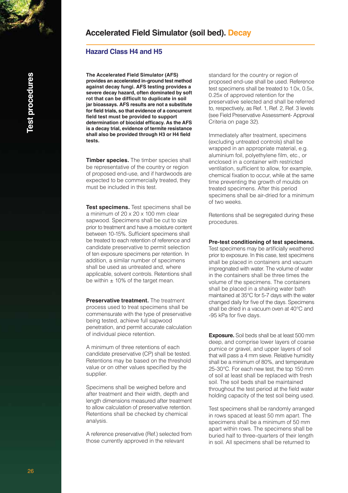### **Accelerated Field Simulator (soil bed). Decay**

### **Hazard Class H4 and H5**

**The Accelerated Field Simulator (AFS) provides an accelerated in-ground test method against decay fungi. AFS testing provides a severe decay hazard, often dominated by soft rot that can be difficult to duplicate in soil jar bioassays. AFS results are not a substitute for field trials, so that evidence of a concurrent field test must be provided to support determination of biocidal efficacy. As the AFS is a decay trial, evidence of termite resistance shall also be provided through H3 or H4 field tests.**

**Timber species.** The timber species shall be representative of the country or region of proposed end-use, and if hardwoods are expected to be commercially treated, they must be included in this test.

**Test specimens.** Test specimens shall be a minimum of 20 x 20 x 100 mm clear sapwood. Specimens shall be cut to size prior to treatment and have a moisture content between 10-15%. Sufficient specimens shall be treated to each retention of reference and candidate preservative to permit selection of ten exposure specimens per retention. In addition, a similar number of specimens shall be used as untreated and, where applicable, solvent controls. Retentions shall be within  $\pm$  10% of the target mean.

**Preservative treatment.** The treatment process used to treat specimens shall be commensurate with the type of preservative being tested, achieve full sapwood penetration, and permit accurate calculation of individual piece retention.

A minimum of three retentions of each candidate preservative (CP) shall be tested. Retentions may be based on the threshold value or on other values specified by the supplier.

Specimens shall be weighed before and after treatment and their width, depth and length dimensions measured after treatment to allow calculation of preservative retention. Retentions shall be checked by chemical analysis.

A reference preservative (Ref.) selected from those currently approved in the relevant

standard for the country or region of proposed end-use shall be used. Reference test specimens shall be treated to 1.0x, 0.5x, 0.25x of approved retention for the preservative selected and shall be referred to, respectively, as Ref. 1, Ref. 2, Ref. 3 levels (see Field Preservative Assessment- Approval Criteria on page 32).

Immediately after treatment, specimens (excluding untreated controls) shall be wrapped in an appropriate material, e.g. aluminium foil, polyethylene film, etc., or enclosed in a container with restricted ventilation, sufficient to allow, for example, chemical fixation to occur, while at the same time preventing the growth of moulds on treated specimens. After this period specimens shall be air-dried for a minimum of two weeks.

Retentions shall be segregated during these procedures.

**Pre-test conditioning of test specimens.**

Test specimens may be artificially weathered prior to exposure. In this case, test specimens shall be placed in containers and vacuum impregnated with water. The volume of water in the containers shall be three times the volume of the specimens. The containers shall be placed in a shaking water bath maintained at 35°C for 5-7 days with the water changed daily for five of the days. Specimens shall be dried in a vacuum oven at 40°C and -95 kPa for five days.

**Exposure.** Soil beds shall be at least 500 mm deep, and comprise lower layers of coarse pumice or gravel, and upper layers of soil that will pass a 4 mm sieve. Relative humidity shall be a minimum of 80%, and temperature 25-30°C. For each new test, the top 150 mm of soil at least shall be replaced with fresh soil. The soil beds shall be maintained throughout the test period at the field water holding capacity of the test soil being used.

Test specimens shall be randomly arranged in rows spaced at least 50 mm apart. The specimens shall be a minimum of 50 mm apart within rows. The specimens shall be buried half to three-quarters of their length in soil. All specimens shall be returned to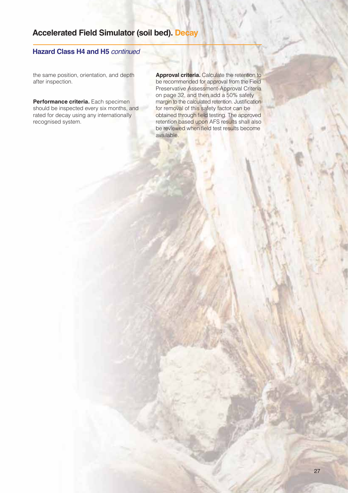### **Accelerated Field Simulator (soil bed). Decay**

### **Hazard Class H4 and H5** *continued*

the same position, orientation, and depth after inspection.

**Performance criteria.** Each specimen should be inspected every six months, and rated for decay using any internationally recognised system.

**Approval criteria.** Calculate the retention to be recommended for approval from the Field Preservative Assessment-Approval Criteria on page 32, and then add a 50% safety margin to the calculated retention. Justification for removal of this safety factor can be obtained through field testing. The approved retention based upon AFS results shall also be reviewed when field test results become available.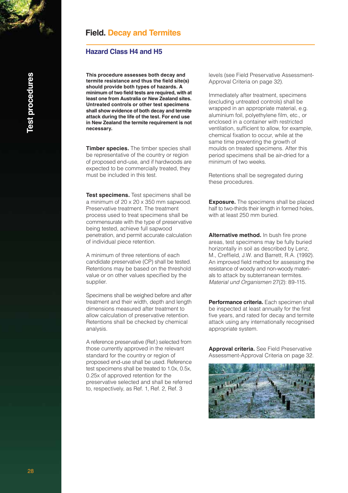### **Field. Decay and Termites**

#### **Hazard Class H4 and H5**

**This procedure assesses both decay and termite resistance and thus the field site(s) should provide both types of hazards. A minimum of two field tests are required, with at least one from Australia or New Zealand sites. Untreated controls or other test specimens shall show evidence of both decay and termite attack during the life of the test. For end use in New Zealand the termite requirement is not necessary.**

**Timber species.** The timber species shall be representative of the country or region of proposed end-use, and if hardwoods are expected to be commercially treated, they must be included in this test.

**Test specimens.** Test specimens shall be a minimum of 20 x 20 x 350 mm sapwood. Preservative treatment. The treatment process used to treat specimens shall be commensurate with the type of preservative being tested, achieve full sapwood penetration, and permit accurate calculation of individual piece retention.

A minimum of three retentions of each candidate preservative (CP) shall be tested. Retentions may be based on the threshold value or on other values specified by the supplier.

Specimens shall be weighed before and after treatment and their width, depth and length dimensions measured after treatment to allow calculation of preservative retention. Retentions shall be checked by chemical analysis.

A reference preservative (Ref.) selected from those currently approved in the relevant standard for the country or region of proposed end-use shall be used. Reference test specimens shall be treated to 1.0x, 0.5x, 0.25x of approved retention for the preservative selected and shall be referred to, respectively, as Ref. 1, Ref. 2, Ref. 3

levels (see Field Preservative Assessment-Approval Criteria on page 32).

Immediately after treatment, specimens (excluding untreated controls) shall be wrapped in an appropriate material, e.g. aluminium foil, polyethylene film, etc., or enclosed in a container with restricted ventilation, sufficient to allow, for example, chemical fixation to occur, while at the same time preventing the growth of moulds on treated specimens. After this period specimens shall be air-dried for a minimum of two weeks.

Retentions shall be segregated during these procedures.

**Exposure.** The specimens shall be placed half to two-thirds their length in formed holes, with at least 250 mm buried.

**Alternative method.** In bush fire prone areas, test specimens may be fully buried horizontally in soil as described by Lenz, M., Creffield, J.W. and Barrett, R.A. (1992). An improved field method for assessing the resistance of woody and non-woody materials to attack by subterranean termites. *Material und Organismen* 27(2): 89-115.

**Performance criteria.** Each specimen shall be inspected at least annually for the first five years, and rated for decay and termite attack using any internationally recognised appropriate system.

**Approval criteria.** See Field Preservative Assessment-Approval Criteria on page 32.

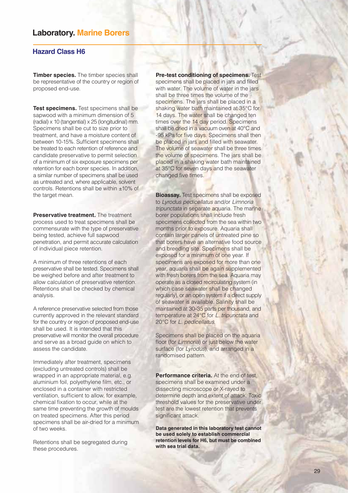### **Laboratory. Marine Borers**

### **Hazard Class H6**

**Timber species.** The timber species shall be representative of the country or region of proposed end-use.

**Test specimens.** Test specimens shall be sapwood with a minimum dimension of 5 (radial) x 10 (tangential) x 25 (longitudinal) mm. Specimens shall be cut to size prior to treatment, and have a moisture content of between 10-15%. Sufficient specimens shall be treated to each retention of reference and candidate preservative to permit selection of a minimum of six exposure specimens per retention for each borer species. In addition, a similar number of specimens shall be used as untreated and, where applicable, solvent controls. Retentions shall be within ±10% of the target mean.

**Preservative treatment.** The treatment process used to treat specimens shall be commensurate with the type of preservative being tested, achieve full sapwood penetration, and permit accurate calculation of individual piece retention.

A minimum of three retentions of each preservative shall be tested. Specimens shall be weighed before and after treatment to allow calculation of preservative retention. Retentions shall be checked by chemical analysis.

A reference preservative selected from those currently approved in the relevant standard for the country or region of proposed end-use shall be used. It is intended that this preservative will monitor the overall procedure and serve as a broad guide on which to assess the candidate.

Immediately after treatment, specimens (excluding untreated controls) shall be wrapped in an appropriate material, e.g. aluminium foil, polyethylene film, etc., or enclosed in a container with restricted ventilation, sufficient to allow, for example, chemical fixation to occur, while at the same time preventing the growth of moulds on treated specimens. After this period specimens shall be air-dried for a minimum of two weeks.

Retentions shall be segregated during these procedures.

**Pre-test conditioning of specimens.** Test specimens shall be placed in jars and filled with water. The volume of water in the jars shall be three times the volume of the specimens. The jars shall be placed in a shaking water bath maintained at 35°C for 14 days. The water shall be changed ten times over the 14 day period. Specimens shall be dried in a vacuum oven at 40°C and -95 kPa for five days. Specimens shall then be placed in jars and filled with seawater. The volume of seawater shall be three times the volume of specimens. The jars shall be placed in a shaking water bath maintained at 35°C for seven days and the seawater changed five times.

**Bioassay.** Test specimens shall be exposed to *Lyrodus pedicellatus* and/or *Limnoria tripunctata* in separate aquaria. The marine borer populations shall include fresh specimens collected from the sea within two months prior to exposure. Aquaria shall contain larger panels of untreated pine so that borers have an alternative food source and breeding site. Specimens shall be exposed for a minimum of one year. If specimens are exposed for more than one year, aquaria shall be again supplemented with fresh borers from the sea. Aquaria may operate as a closed recirculating system (in which case seawater shall be changed regularly), or an open system if a direct supply of seawater is available. Salinity shall be maintained at 30-35 parts per thousand, and temperature at 24°C for *L. tripunctata* and 20°C for *L. pedicellatus*.

Specimens shall be placed on the aquaria floor (for *Limnoria*) or just below the water surface (for *Lyrodus*), and arranged in a randomised pattern.

**Performance criteria.** At the end of test, specimens shall be examined under a dissecting microscope or X-rayed to determine depth and extent of attack. Toxic threshold values for the preservative under test are the lowest retention that prevents significant attack.

**Data generated in this laboratory test cannot be used solely to establish commercial retention levels for H6, but must be combined with sea trial data.**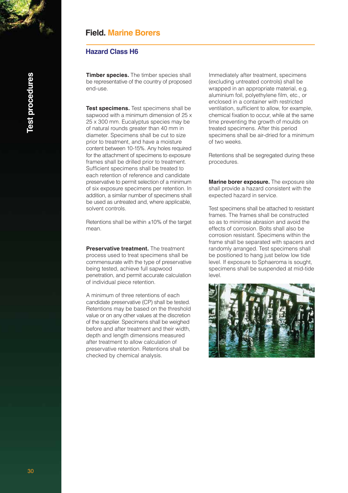### **Field. Marine Borers**

#### **Hazard Class H6**

**Timber species.** The timber species shall be representative of the country of proposed end-use.

**Test specimens.** Test specimens shall be sapwood with a minimum dimension of 25 x 25 x 300 mm. Eucalyptus species may be of natural rounds greater than 40 mm in diameter. Specimens shall be cut to size prior to treatment, and have a moisture content between 10-15%. Any holes required for the attachment of specimens to exposure frames shall be drilled prior to treatment. Sufficient specimens shall be treated to each retention of reference and candidate preservative to permit selection of a minimum of six exposure specimens per retention. In addition, a similar number of specimens shall be used as untreated and, where applicable, solvent controls.

Retentions shall be within ±10% of the target mean.

**Preservative treatment.** The treatment process used to treat specimens shall be commensurate with the type of preservative being tested, achieve full sapwood penetration, and permit accurate calculation of individual piece retention.

A minimum of three retentions of each candidate preservative (CP) shall be tested. Retentions may be based on the threshold value or on any other values at the discretion of the supplier. Specimens shall be weighed before and after treatment and their width, depth and length dimensions measured after treatment to allow calculation of preservative retention. Retentions shall be checked by chemical analysis.

Immediately after treatment, specimens (excluding untreated controls) shall be wrapped in an appropriate material, e.g. aluminium foil, polyethylene film, etc., or enclosed in a container with restricted ventilation, sufficient to allow, for example, chemical fixation to occur, while at the same time preventing the growth of moulds on treated specimens. After this period specimens shall be air-dried for a minimum of two weeks.

Retentions shall be segregated during these procedures.

**Marine borer exposure.** The exposure site shall provide a hazard consistent with the expected hazard in service.

Test specimens shall be attached to resistant frames. The frames shall be constructed so as to minimise abrasion and avoid the effects of corrosion. Bolts shall also be corrosion resistant. Specimens within the frame shall be separated with spacers and randomly arranged. Test specimens shall be positioned to hang just below low tide level. If exposure to Sphaeroma is sought, specimens shall be suspended at mid-tide level.

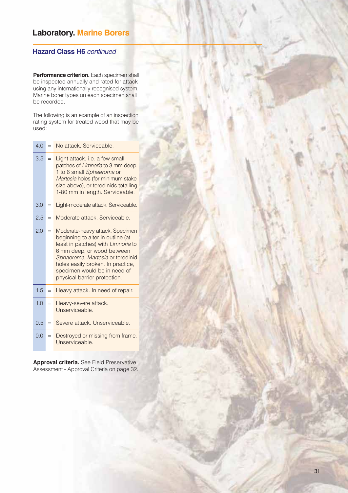### **Laboratory. Marine Borers**

### **Hazard Class H6** *continued*

**Performance criterion.** Each specimen shall be inspected annually and rated for attack using any internationally recognised system. Marine borer types on each specimen shall be recorded.

The following is an example of an inspection rating system for treated wood that may be used:

| 4.0 | $=$ | No attack, Serviceable,                                                                                                                                                                                                                                                           |
|-----|-----|-----------------------------------------------------------------------------------------------------------------------------------------------------------------------------------------------------------------------------------------------------------------------------------|
| 3.5 | $=$ | Light attack, i.e. a few small<br>patches of Limnoria to 3 mm deep,<br>1 to 6 small Sphaeroma or<br>Martesia holes (for minimum stake<br>size above), or teredinids totalling<br>1-80 mm in length. Serviceable.                                                                  |
| 3.0 | $=$ | Light-moderate attack. Serviceable.                                                                                                                                                                                                                                               |
| 2.5 | $=$ | Moderate attack, Serviceable,                                                                                                                                                                                                                                                     |
| 2.0 | $=$ | Moderate-heavy attack. Specimen<br>beginning to alter in outline (at<br>least in patches) with Limnoria to<br>6 mm deep, or wood between<br>Sphaeroma, Martesia or teredinid<br>holes easily broken. In practice,<br>specimen would be in need of<br>physical barrier protection. |
| 1.5 | $=$ | Heavy attack. In need of repair.                                                                                                                                                                                                                                                  |
| 1.0 | $=$ | Heavy-severe attack.<br>Unserviceable.                                                                                                                                                                                                                                            |
| 0.5 | $=$ | Severe attack, Unserviceable,                                                                                                                                                                                                                                                     |
| 0.0 | $=$ | Destroyed or missing from frame.<br>Unserviceable.                                                                                                                                                                                                                                |

**Approval criteria.** See Field Preservative Assessment - Approval Criteria on page 32.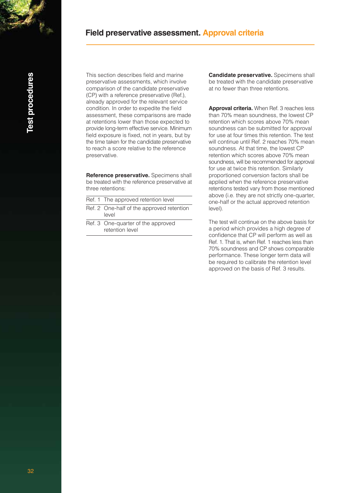### **Field preservative assessment. Approval criteria**

*<u><b>Jest procedures</u>* 32**Test procedures** This section describes field and marine preservative assessments, which involve comparison of the candidate preservative (CP) with a reference preservative (Ref.), already approved for the relevant service condition. In order to expedite the field assessment, these comparisons are made at retentions lower than those expected to provide long-term effective service. Minimum field exposure is fixed, not in years, but by the time taken for the candidate preservative to reach a score relative to the reference preservative.

**Reference preservative.** Specimens shall be treated with the reference preservative at three retentions:

| Ref. 1 The approved retention level |  |
|-------------------------------------|--|
|-------------------------------------|--|

- Ref. 2 One-half of the approved retention level
- Ref. 3 One-quarter of the approved retention level

**Candidate preservative.** Specimens shall be treated with the candidate preservative at no fewer than three retentions.

**Approval criteria.** When Ref. 3 reaches less than 70% mean soundness, the lowest CP retention which scores above 70% mean soundness can be submitted for approval for use at four times this retention. The test will continue until Ref. 2 reaches 70% mean soundness. At that time, the lowest CP retention which scores above 70% mean soundness, will be recommended for approval for use at twice this retention. Similarly proportioned conversion factors shall be applied when the reference preservative retentions tested vary from those mentioned above (i.e. they are not strictly one-quarter, one-half or the actual approved retention level).

The test will continue on the above basis for a period which provides a high degree of confidence that CP will perform as well as Ref. 1. That is, when Ref. 1 reaches less than 70% soundness and CP shows comparable performance. These longer term data will be required to calibrate the retention level approved on the basis of Ref. 3 results.